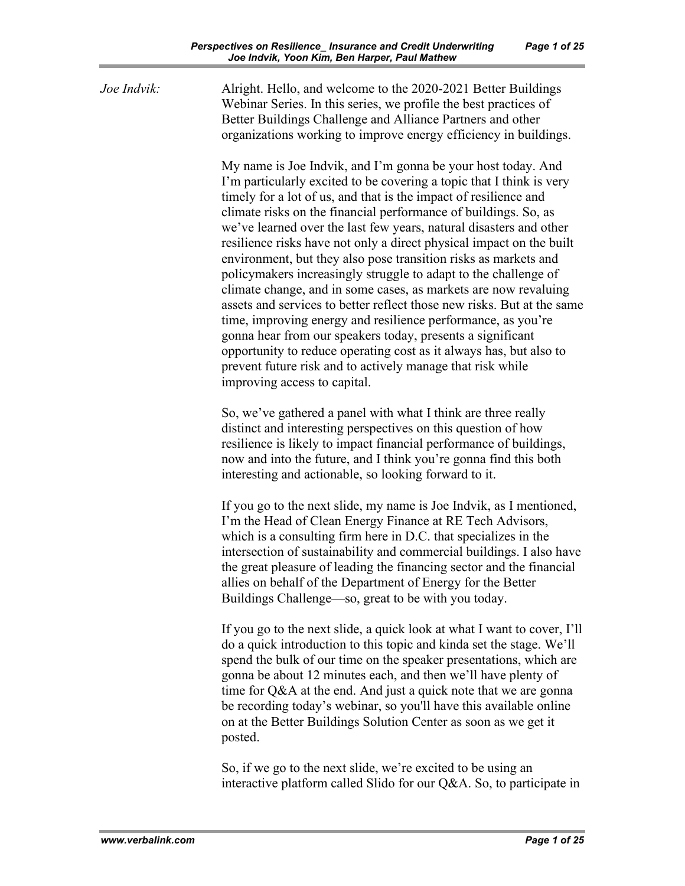*Joe Indvik:* Alright. Hello, and welcome to the 2020-2021 Better Buildings Webinar Series. In this series, we profile the best practices of Better Buildings Challenge and Alliance Partners and other organizations working to improve energy efficiency in buildings.

> My name is Joe Indvik, and I'm gonna be your host today. And I'm particularly excited to be covering a topic that I think is very timely for a lot of us, and that is the impact of resilience and climate risks on the financial performance of buildings. So, as we've learned over the last few years, natural disasters and other resilience risks have not only a direct physical impact on the built environment, but they also pose transition risks as markets and policymakers increasingly struggle to adapt to the challenge of climate change, and in some cases, as markets are now revaluing assets and services to better reflect those new risks. But at the same time, improving energy and resilience performance, as you're gonna hear from our speakers today, presents a significant opportunity to reduce operating cost as it always has, but also to prevent future risk and to actively manage that risk while improving access to capital.

So, we've gathered a panel with what I think are three really distinct and interesting perspectives on this question of how resilience is likely to impact financial performance of buildings, now and into the future, and I think you're gonna find this both interesting and actionable, so looking forward to it.

If you go to the next slide, my name is Joe Indvik, as I mentioned, I'm the Head of Clean Energy Finance at RE Tech Advisors, which is a consulting firm here in D.C. that specializes in the intersection of sustainability and commercial buildings. I also have the great pleasure of leading the financing sector and the financial allies on behalf of the Department of Energy for the Better Buildings Challenge—so, great to be with you today.

If you go to the next slide, a quick look at what I want to cover, I'll do a quick introduction to this topic and kinda set the stage. We'll spend the bulk of our time on the speaker presentations, which are gonna be about 12 minutes each, and then we'll have plenty of time for Q&A at the end. And just a quick note that we are gonna be recording today's webinar, so you'll have this available online on at the Better Buildings Solution Center as soon as we get it posted.

So, if we go to the next slide, we're excited to be using an interactive platform called Slido for our Q&A. So, to participate in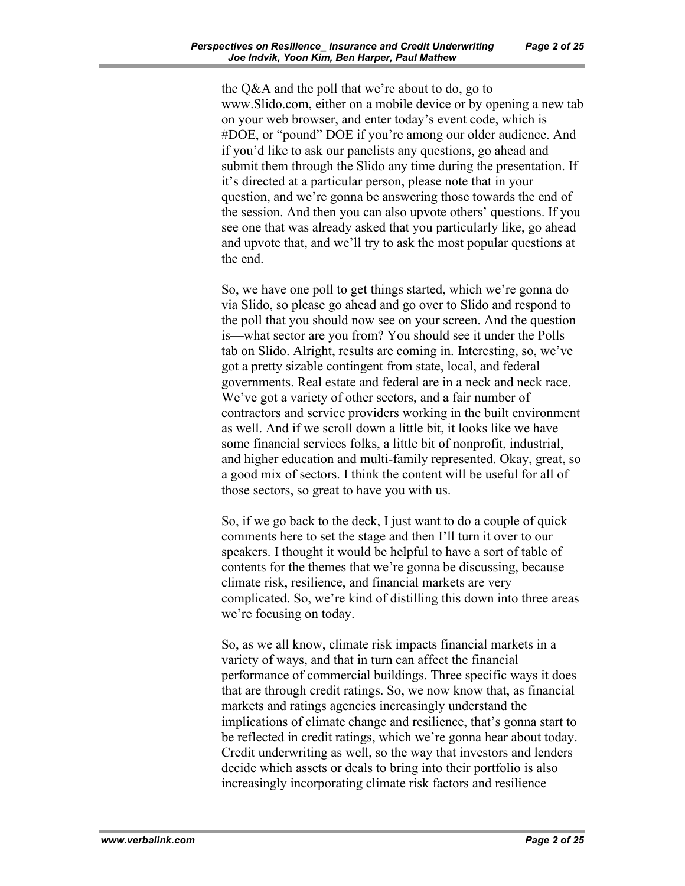the Q&A and the poll that we're about to do, go to [www.Slido.com,](http://www.slido.com/) either on a mobile device or by opening a new tab on your web browser, and enter today's event code, which is #DOE, or "pound" DOE if you're among our older audience. And if you'd like to ask our panelists any questions, go ahead and submit them through the Slido any time during the presentation. If it's directed at a particular person, please note that in your question, and we're gonna be answering those towards the end of the session. And then you can also upvote others' questions. If you see one that was already asked that you particularly like, go ahead and upvote that, and we'll try to ask the most popular questions at the end.

So, we have one poll to get things started, which we're gonna do via Slido, so please go ahead and go over to Slido and respond to the poll that you should now see on your screen. And the question is—what sector are you from? You should see it under the Polls tab on Slido. Alright, results are coming in. Interesting, so, we've got a pretty sizable contingent from state, local, and federal governments. Real estate and federal are in a neck and neck race. We've got a variety of other sectors, and a fair number of contractors and service providers working in the built environment as well. And if we scroll down a little bit, it looks like we have some financial services folks, a little bit of nonprofit, industrial, and higher education and multi-family represented. Okay, great, so a good mix of sectors. I think the content will be useful for all of those sectors, so great to have you with us.

So, if we go back to the deck, I just want to do a couple of quick comments here to set the stage and then I'll turn it over to our speakers. I thought it would be helpful to have a sort of table of contents for the themes that we're gonna be discussing, because climate risk, resilience, and financial markets are very complicated. So, we're kind of distilling this down into three areas we're focusing on today.

So, as we all know, climate risk impacts financial markets in a variety of ways, and that in turn can affect the financial performance of commercial buildings. Three specific ways it does that are through credit ratings. So, we now know that, as financial markets and ratings agencies increasingly understand the implications of climate change and resilience, that's gonna start to be reflected in credit ratings, which we're gonna hear about today. Credit underwriting as well, so the way that investors and lenders decide which assets or deals to bring into their portfolio is also increasingly incorporating climate risk factors and resilience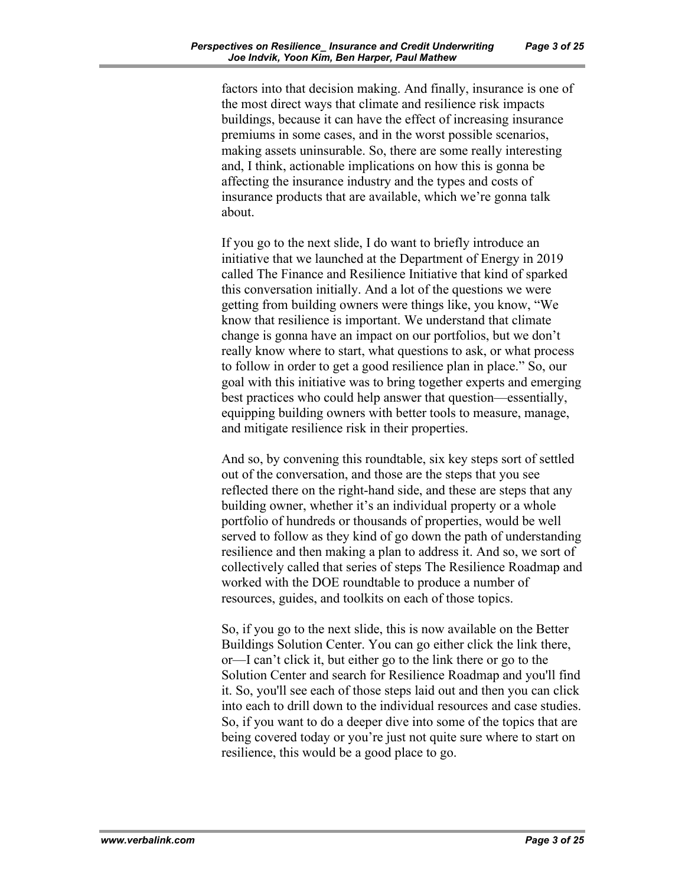factors into that decision making. And finally, insurance is one of the most direct ways that climate and resilience risk impacts buildings, because it can have the effect of increasing insurance premiums in some cases, and in the worst possible scenarios, making assets uninsurable. So, there are some really interesting and, I think, actionable implications on how this is gonna be affecting the insurance industry and the types and costs of insurance products that are available, which we're gonna talk about.

If you go to the next slide, I do want to briefly introduce an initiative that we launched at the Department of Energy in 2019 called The Finance and Resilience Initiative that kind of sparked this conversation initially. And a lot of the questions we were getting from building owners were things like, you know, "We know that resilience is important. We understand that climate change is gonna have an impact on our portfolios, but we don't really know where to start, what questions to ask, or what process to follow in order to get a good resilience plan in place." So, our goal with this initiative was to bring together experts and emerging best practices who could help answer that question—essentially, equipping building owners with better tools to measure, manage, and mitigate resilience risk in their properties.

And so, by convening this roundtable, six key steps sort of settled out of the conversation, and those are the steps that you see reflected there on the right-hand side, and these are steps that any building owner, whether it's an individual property or a whole portfolio of hundreds or thousands of properties, would be well served to follow as they kind of go down the path of understanding resilience and then making a plan to address it. And so, we sort of collectively called that series of steps The Resilience Roadmap and worked with the DOE roundtable to produce a number of resources, guides, and toolkits on each of those topics.

So, if you go to the next slide, this is now available on the Better Buildings Solution Center. You can go either click the link there, or—I can't click it, but either go to the link there or go to the Solution Center and search for Resilience Roadmap and you'll find it. So, you'll see each of those steps laid out and then you can click into each to drill down to the individual resources and case studies. So, if you want to do a deeper dive into some of the topics that are being covered today or you're just not quite sure where to start on resilience, this would be a good place to go.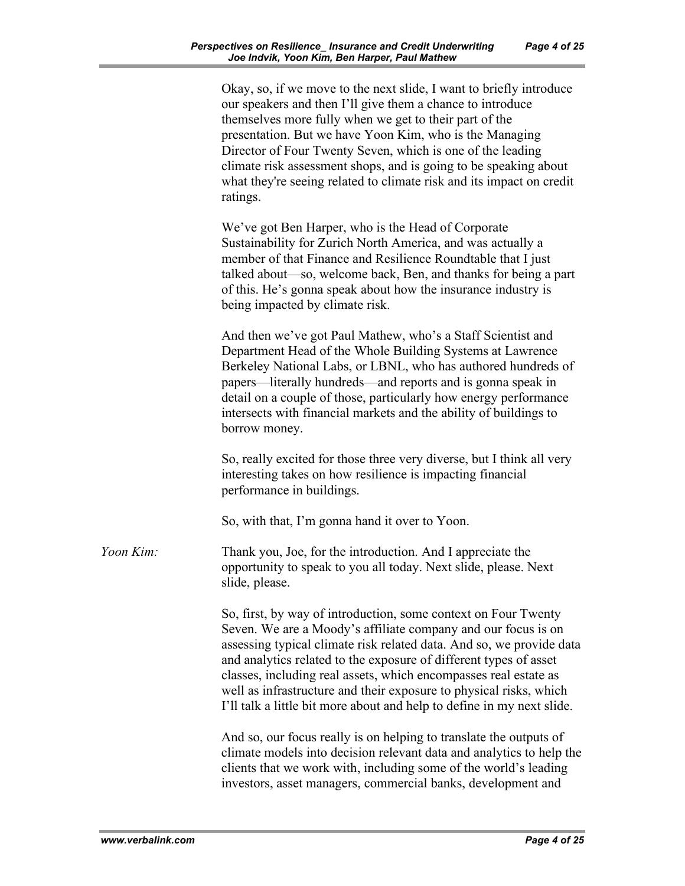|           | Okay, so, if we move to the next slide, I want to briefly introduce<br>our speakers and then I'll give them a chance to introduce<br>themselves more fully when we get to their part of the<br>presentation. But we have Yoon Kim, who is the Managing<br>Director of Four Twenty Seven, which is one of the leading<br>climate risk assessment shops, and is going to be speaking about<br>what they're seeing related to climate risk and its impact on credit<br>ratings.                     |
|-----------|--------------------------------------------------------------------------------------------------------------------------------------------------------------------------------------------------------------------------------------------------------------------------------------------------------------------------------------------------------------------------------------------------------------------------------------------------------------------------------------------------|
|           | We've got Ben Harper, who is the Head of Corporate<br>Sustainability for Zurich North America, and was actually a<br>member of that Finance and Resilience Roundtable that I just<br>talked about—so, welcome back, Ben, and thanks for being a part<br>of this. He's gonna speak about how the insurance industry is<br>being impacted by climate risk.                                                                                                                                         |
|           | And then we've got Paul Mathew, who's a Staff Scientist and<br>Department Head of the Whole Building Systems at Lawrence<br>Berkeley National Labs, or LBNL, who has authored hundreds of<br>papers—literally hundreds—and reports and is gonna speak in<br>detail on a couple of those, particularly how energy performance<br>intersects with financial markets and the ability of buildings to<br>borrow money.                                                                               |
|           | So, really excited for those three very diverse, but I think all very<br>interesting takes on how resilience is impacting financial<br>performance in buildings.                                                                                                                                                                                                                                                                                                                                 |
|           | So, with that, I'm gonna hand it over to Yoon.                                                                                                                                                                                                                                                                                                                                                                                                                                                   |
| Yoon Kim: | Thank you, Joe, for the introduction. And I appreciate the<br>opportunity to speak to you all today. Next slide, please. Next<br>slide, please.                                                                                                                                                                                                                                                                                                                                                  |
|           | So, first, by way of introduction, some context on Four Twenty<br>Seven. We are a Moody's affiliate company and our focus is on<br>assessing typical climate risk related data. And so, we provide data<br>and analytics related to the exposure of different types of asset<br>classes, including real assets, which encompasses real estate as<br>well as infrastructure and their exposure to physical risks, which<br>I'll talk a little bit more about and help to define in my next slide. |
|           | And so, our focus really is on helping to translate the outputs of<br>climate models into decision relevant data and analytics to help the<br>clients that we work with, including some of the world's leading<br>investors, asset managers, commercial banks, development and                                                                                                                                                                                                                   |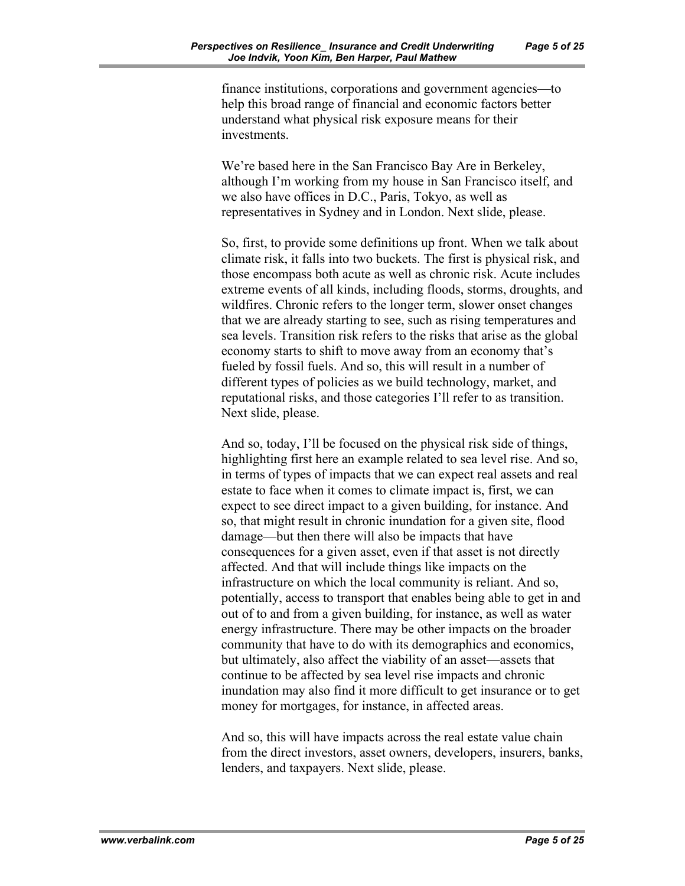finance institutions, corporations and government agencies—to help this broad range of financial and economic factors better understand what physical risk exposure means for their investments.

We're based here in the San Francisco Bay Are in Berkeley, although I'm working from my house in San Francisco itself, and we also have offices in D.C., Paris, Tokyo, as well as representatives in Sydney and in London. Next slide, please.

So, first, to provide some definitions up front. When we talk about climate risk, it falls into two buckets. The first is physical risk, and those encompass both acute as well as chronic risk. Acute includes extreme events of all kinds, including floods, storms, droughts, and wildfires. Chronic refers to the longer term, slower onset changes that we are already starting to see, such as rising temperatures and sea levels. Transition risk refers to the risks that arise as the global economy starts to shift to move away from an economy that's fueled by fossil fuels. And so, this will result in a number of different types of policies as we build technology, market, and reputational risks, and those categories I'll refer to as transition. Next slide, please.

And so, today, I'll be focused on the physical risk side of things, highlighting first here an example related to sea level rise. And so, in terms of types of impacts that we can expect real assets and real estate to face when it comes to climate impact is, first, we can expect to see direct impact to a given building, for instance. And so, that might result in chronic inundation for a given site, flood damage—but then there will also be impacts that have consequences for a given asset, even if that asset is not directly affected. And that will include things like impacts on the infrastructure on which the local community is reliant. And so, potentially, access to transport that enables being able to get in and out of to and from a given building, for instance, as well as water energy infrastructure. There may be other impacts on the broader community that have to do with its demographics and economics, but ultimately, also affect the viability of an asset—assets that continue to be affected by sea level rise impacts and chronic inundation may also find it more difficult to get insurance or to get money for mortgages, for instance, in affected areas.

And so, this will have impacts across the real estate value chain from the direct investors, asset owners, developers, insurers, banks, lenders, and taxpayers. Next slide, please.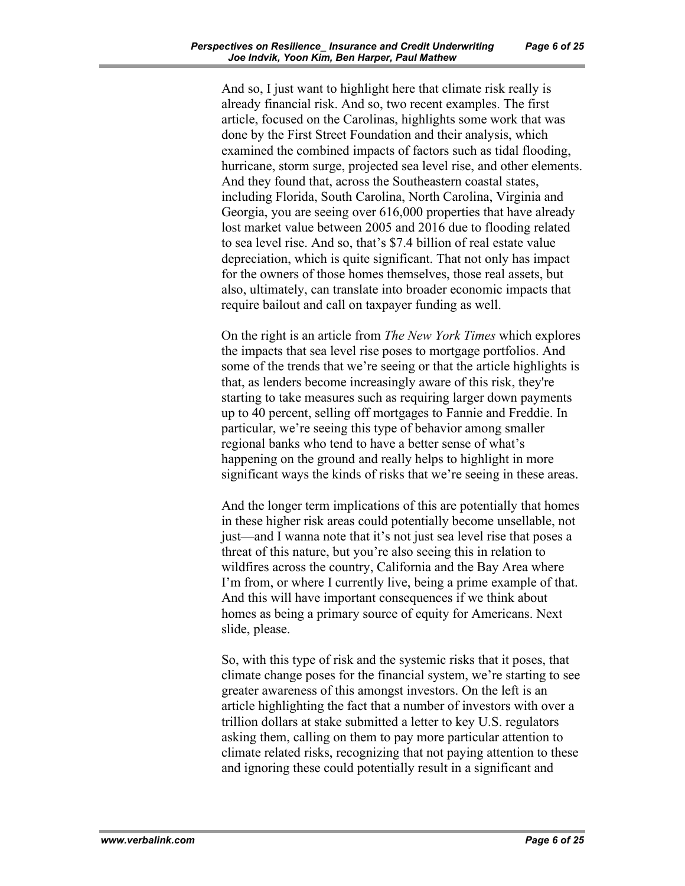And so, I just want to highlight here that climate risk really is already financial risk. And so, two recent examples. The first article, focused on the Carolinas, highlights some work that was done by the First Street Foundation and their analysis, which examined the combined impacts of factors such as tidal flooding, hurricane, storm surge, projected sea level rise, and other elements. And they found that, across the Southeastern coastal states, including Florida, South Carolina, North Carolina, Virginia and Georgia, you are seeing over 616,000 properties that have already lost market value between 2005 and 2016 due to flooding related to sea level rise. And so, that's \$7.4 billion of real estate value depreciation, which is quite significant. That not only has impact for the owners of those homes themselves, those real assets, but also, ultimately, can translate into broader economic impacts that require bailout and call on taxpayer funding as well.

On the right is an article from *The New York Times* which explores the impacts that sea level rise poses to mortgage portfolios. And some of the trends that we're seeing or that the article highlights is that, as lenders become increasingly aware of this risk, they're starting to take measures such as requiring larger down payments up to 40 percent, selling off mortgages to Fannie and Freddie. In particular, we're seeing this type of behavior among smaller regional banks who tend to have a better sense of what's happening on the ground and really helps to highlight in more significant ways the kinds of risks that we're seeing in these areas.

And the longer term implications of this are potentially that homes in these higher risk areas could potentially become unsellable, not just—and I wanna note that it's not just sea level rise that poses a threat of this nature, but you're also seeing this in relation to wildfires across the country, California and the Bay Area where I'm from, or where I currently live, being a prime example of that. And this will have important consequences if we think about homes as being a primary source of equity for Americans. Next slide, please.

So, with this type of risk and the systemic risks that it poses, that climate change poses for the financial system, we're starting to see greater awareness of this amongst investors. On the left is an article highlighting the fact that a number of investors with over a trillion dollars at stake submitted a letter to key U.S. regulators asking them, calling on them to pay more particular attention to climate related risks, recognizing that not paying attention to these and ignoring these could potentially result in a significant and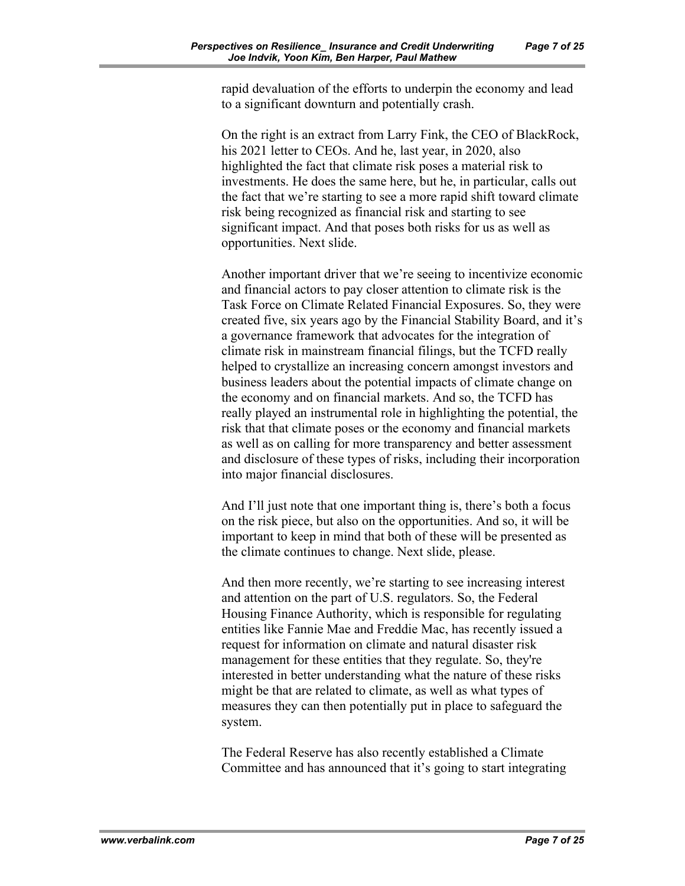rapid devaluation of the efforts to underpin the economy and lead to a significant downturn and potentially crash.

On the right is an extract from Larry Fink, the CEO of BlackRock, his 2021 letter to CEOs. And he, last year, in 2020, also highlighted the fact that climate risk poses a material risk to investments. He does the same here, but he, in particular, calls out the fact that we're starting to see a more rapid shift toward climate risk being recognized as financial risk and starting to see significant impact. And that poses both risks for us as well as opportunities. Next slide.

Another important driver that we're seeing to incentivize economic and financial actors to pay closer attention to climate risk is the Task Force on Climate Related Financial Exposures. So, they were created five, six years ago by the Financial Stability Board, and it's a governance framework that advocates for the integration of climate risk in mainstream financial filings, but the TCFD really helped to crystallize an increasing concern amongst investors and business leaders about the potential impacts of climate change on the economy and on financial markets. And so, the TCFD has really played an instrumental role in highlighting the potential, the risk that that climate poses or the economy and financial markets as well as on calling for more transparency and better assessment and disclosure of these types of risks, including their incorporation into major financial disclosures.

And I'll just note that one important thing is, there's both a focus on the risk piece, but also on the opportunities. And so, it will be important to keep in mind that both of these will be presented as the climate continues to change. Next slide, please.

And then more recently, we're starting to see increasing interest and attention on the part of U.S. regulators. So, the Federal Housing Finance Authority, which is responsible for regulating entities like Fannie Mae and Freddie Mac, has recently issued a request for information on climate and natural disaster risk management for these entities that they regulate. So, they're interested in better understanding what the nature of these risks might be that are related to climate, as well as what types of measures they can then potentially put in place to safeguard the system.

The Federal Reserve has also recently established a Climate Committee and has announced that it's going to start integrating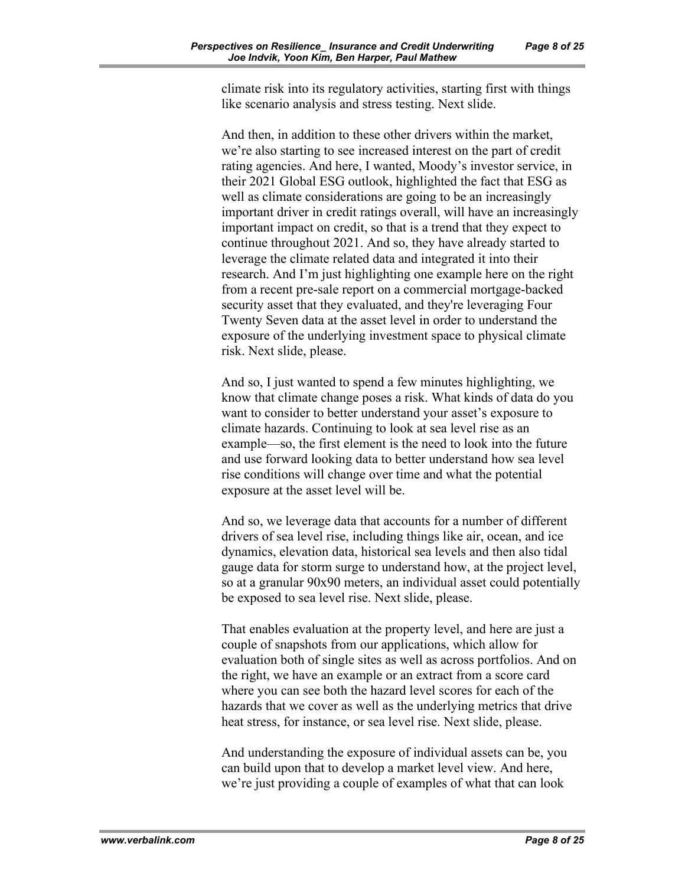climate risk into its regulatory activities, starting first with things like scenario analysis and stress testing. Next slide.

And then, in addition to these other drivers within the market, we're also starting to see increased interest on the part of credit rating agencies. And here, I wanted, Moody's investor service, in their 2021 Global ESG outlook, highlighted the fact that ESG as well as climate considerations are going to be an increasingly important driver in credit ratings overall, will have an increasingly important impact on credit, so that is a trend that they expect to continue throughout 2021. And so, they have already started to leverage the climate related data and integrated it into their research. And I'm just highlighting one example here on the right from a recent pre-sale report on a commercial mortgage-backed security asset that they evaluated, and they're leveraging Four Twenty Seven data at the asset level in order to understand the exposure of the underlying investment space to physical climate risk. Next slide, please.

And so, I just wanted to spend a few minutes highlighting, we know that climate change poses a risk. What kinds of data do you want to consider to better understand your asset's exposure to climate hazards. Continuing to look at sea level rise as an example—so, the first element is the need to look into the future and use forward looking data to better understand how sea level rise conditions will change over time and what the potential exposure at the asset level will be.

And so, we leverage data that accounts for a number of different drivers of sea level rise, including things like air, ocean, and ice dynamics, elevation data, historical sea levels and then also tidal gauge data for storm surge to understand how, at the project level, so at a granular 90x90 meters, an individual asset could potentially be exposed to sea level rise. Next slide, please.

That enables evaluation at the property level, and here are just a couple of snapshots from our applications, which allow for evaluation both of single sites as well as across portfolios. And on the right, we have an example or an extract from a score card where you can see both the hazard level scores for each of the hazards that we cover as well as the underlying metrics that drive heat stress, for instance, or sea level rise. Next slide, please.

And understanding the exposure of individual assets can be, you can build upon that to develop a market level view. And here, we're just providing a couple of examples of what that can look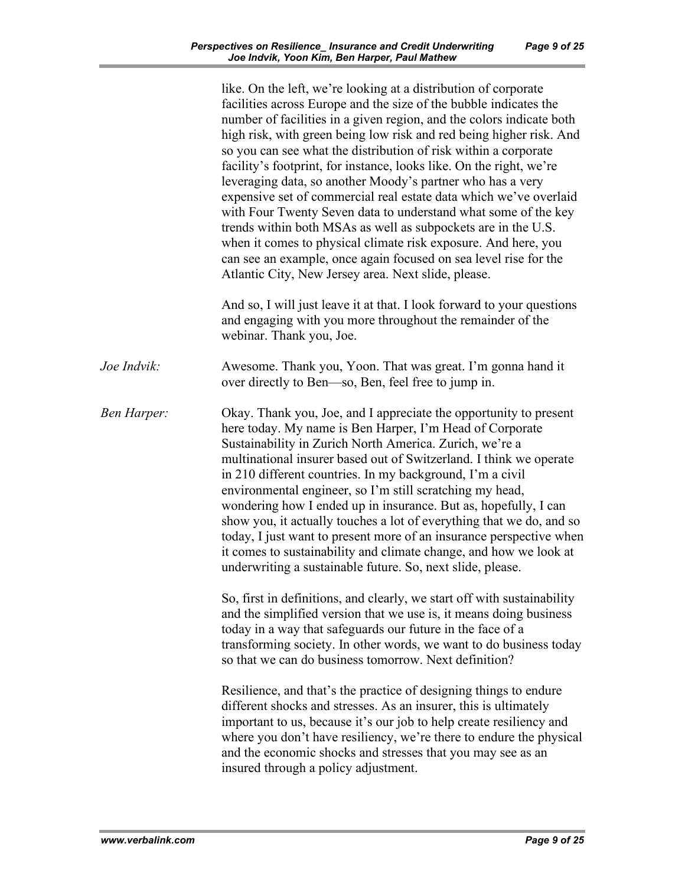|                    | like. On the left, we're looking at a distribution of corporate<br>facilities across Europe and the size of the bubble indicates the<br>number of facilities in a given region, and the colors indicate both<br>high risk, with green being low risk and red being higher risk. And<br>so you can see what the distribution of risk within a corporate<br>facility's footprint, for instance, looks like. On the right, we're<br>leveraging data, so another Moody's partner who has a very<br>expensive set of commercial real estate data which we've overlaid<br>with Four Twenty Seven data to understand what some of the key<br>trends within both MSAs as well as subpockets are in the U.S.<br>when it comes to physical climate risk exposure. And here, you<br>can see an example, once again focused on sea level rise for the<br>Atlantic City, New Jersey area. Next slide, please. |
|--------------------|--------------------------------------------------------------------------------------------------------------------------------------------------------------------------------------------------------------------------------------------------------------------------------------------------------------------------------------------------------------------------------------------------------------------------------------------------------------------------------------------------------------------------------------------------------------------------------------------------------------------------------------------------------------------------------------------------------------------------------------------------------------------------------------------------------------------------------------------------------------------------------------------------|
|                    | And so, I will just leave it at that. I look forward to your questions<br>and engaging with you more throughout the remainder of the<br>webinar. Thank you, Joe.                                                                                                                                                                                                                                                                                                                                                                                                                                                                                                                                                                                                                                                                                                                                 |
| Joe Indvik:        | Awesome. Thank you, Yoon. That was great. I'm gonna hand it<br>over directly to Ben—so, Ben, feel free to jump in.                                                                                                                                                                                                                                                                                                                                                                                                                                                                                                                                                                                                                                                                                                                                                                               |
| <b>Ben Harper:</b> | Okay. Thank you, Joe, and I appreciate the opportunity to present<br>here today. My name is Ben Harper, I'm Head of Corporate<br>Sustainability in Zurich North America. Zurich, we're a<br>multinational insurer based out of Switzerland. I think we operate<br>in 210 different countries. In my background, I'm a civil<br>environmental engineer, so I'm still scratching my head,<br>wondering how I ended up in insurance. But as, hopefully, I can<br>show you, it actually touches a lot of everything that we do, and so<br>today, I just want to present more of an insurance perspective when<br>it comes to sustainability and climate change, and how we look at<br>underwriting a sustainable future. So, next slide, please.                                                                                                                                                     |
|                    | So, first in definitions, and clearly, we start off with sustainability<br>and the simplified version that we use is, it means doing business<br>today in a way that safeguards our future in the face of a<br>transforming society. In other words, we want to do business today<br>so that we can do business tomorrow. Next definition?                                                                                                                                                                                                                                                                                                                                                                                                                                                                                                                                                       |
|                    | Resilience, and that's the practice of designing things to endure<br>different shocks and stresses. As an insurer, this is ultimately<br>important to us, because it's our job to help create resiliency and<br>where you don't have resiliency, we're there to endure the physical<br>and the economic shocks and stresses that you may see as an<br>insured through a policy adjustment.                                                                                                                                                                                                                                                                                                                                                                                                                                                                                                       |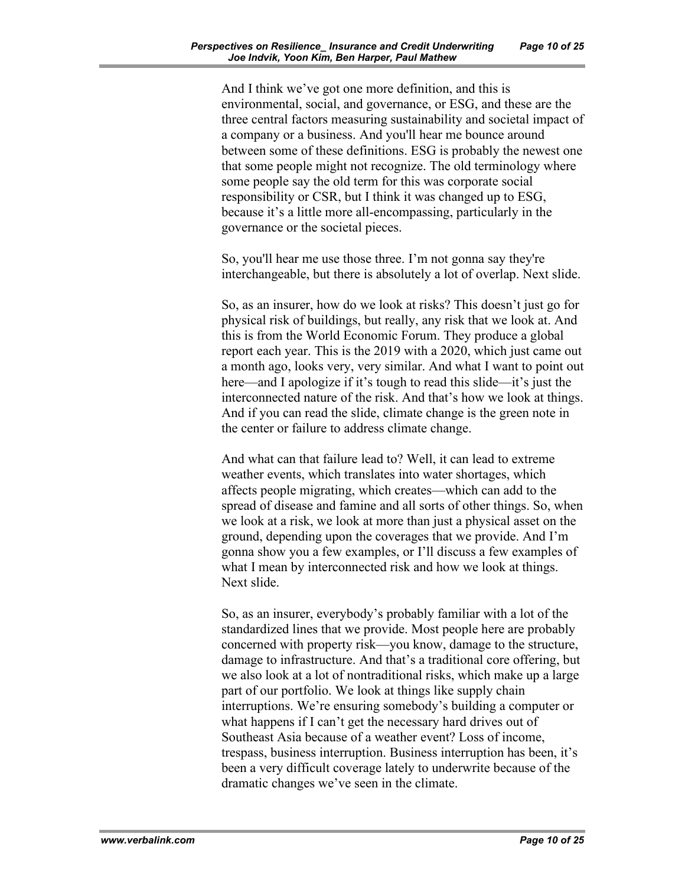And I think we've got one more definition, and this is environmental, social, and governance, or ESG, and these are the three central factors measuring sustainability and societal impact of a company or a business. And you'll hear me bounce around between some of these definitions. ESG is probably the newest one that some people might not recognize. The old terminology where some people say the old term for this was corporate social responsibility or CSR, but I think it was changed up to ESG, because it's a little more all-encompassing, particularly in the governance or the societal pieces.

So, you'll hear me use those three. I'm not gonna say they're interchangeable, but there is absolutely a lot of overlap. Next slide.

So, as an insurer, how do we look at risks? This doesn't just go for physical risk of buildings, but really, any risk that we look at. And this is from the World Economic Forum. They produce a global report each year. This is the 2019 with a 2020, which just came out a month ago, looks very, very similar. And what I want to point out here—and I apologize if it's tough to read this slide—it's just the interconnected nature of the risk. And that's how we look at things. And if you can read the slide, climate change is the green note in the center or failure to address climate change.

And what can that failure lead to? Well, it can lead to extreme weather events, which translates into water shortages, which affects people migrating, which creates—which can add to the spread of disease and famine and all sorts of other things. So, when we look at a risk, we look at more than just a physical asset on the ground, depending upon the coverages that we provide. And I'm gonna show you a few examples, or I'll discuss a few examples of what I mean by interconnected risk and how we look at things. Next slide.

So, as an insurer, everybody's probably familiar with a lot of the standardized lines that we provide. Most people here are probably concerned with property risk—you know, damage to the structure, damage to infrastructure. And that's a traditional core offering, but we also look at a lot of nontraditional risks, which make up a large part of our portfolio. We look at things like supply chain interruptions. We're ensuring somebody's building a computer or what happens if I can't get the necessary hard drives out of Southeast Asia because of a weather event? Loss of income, trespass, business interruption. Business interruption has been, it's been a very difficult coverage lately to underwrite because of the dramatic changes we've seen in the climate.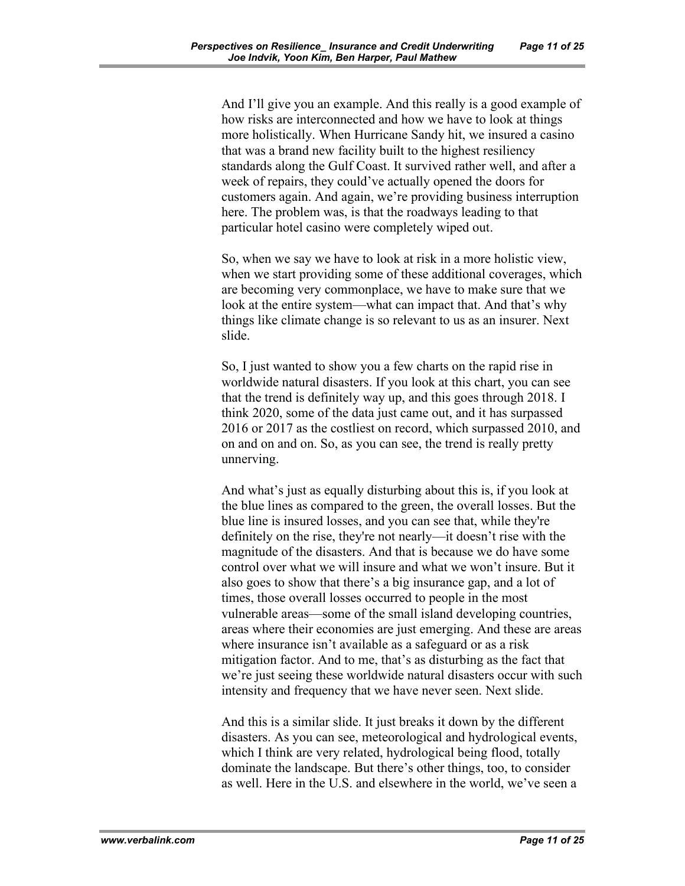And I'll give you an example. And this really is a good example of how risks are interconnected and how we have to look at things more holistically. When Hurricane Sandy hit, we insured a casino that was a brand new facility built to the highest resiliency standards along the Gulf Coast. It survived rather well, and after a week of repairs, they could've actually opened the doors for customers again. And again, we're providing business interruption here. The problem was, is that the roadways leading to that particular hotel casino were completely wiped out.

So, when we say we have to look at risk in a more holistic view, when we start providing some of these additional coverages, which are becoming very commonplace, we have to make sure that we look at the entire system—what can impact that. And that's why things like climate change is so relevant to us as an insurer. Next slide.

So, I just wanted to show you a few charts on the rapid rise in worldwide natural disasters. If you look at this chart, you can see that the trend is definitely way up, and this goes through 2018. I think 2020, some of the data just came out, and it has surpassed 2016 or 2017 as the costliest on record, which surpassed 2010, and on and on and on. So, as you can see, the trend is really pretty unnerving.

And what's just as equally disturbing about this is, if you look at the blue lines as compared to the green, the overall losses. But the blue line is insured losses, and you can see that, while they're definitely on the rise, they're not nearly—it doesn't rise with the magnitude of the disasters. And that is because we do have some control over what we will insure and what we won't insure. But it also goes to show that there's a big insurance gap, and a lot of times, those overall losses occurred to people in the most vulnerable areas—some of the small island developing countries, areas where their economies are just emerging. And these are areas where insurance isn't available as a safeguard or as a risk mitigation factor. And to me, that's as disturbing as the fact that we're just seeing these worldwide natural disasters occur with such intensity and frequency that we have never seen. Next slide.

And this is a similar slide. It just breaks it down by the different disasters. As you can see, meteorological and hydrological events, which I think are very related, hydrological being flood, totally dominate the landscape. But there's other things, too, to consider as well. Here in the U.S. and elsewhere in the world, we've seen a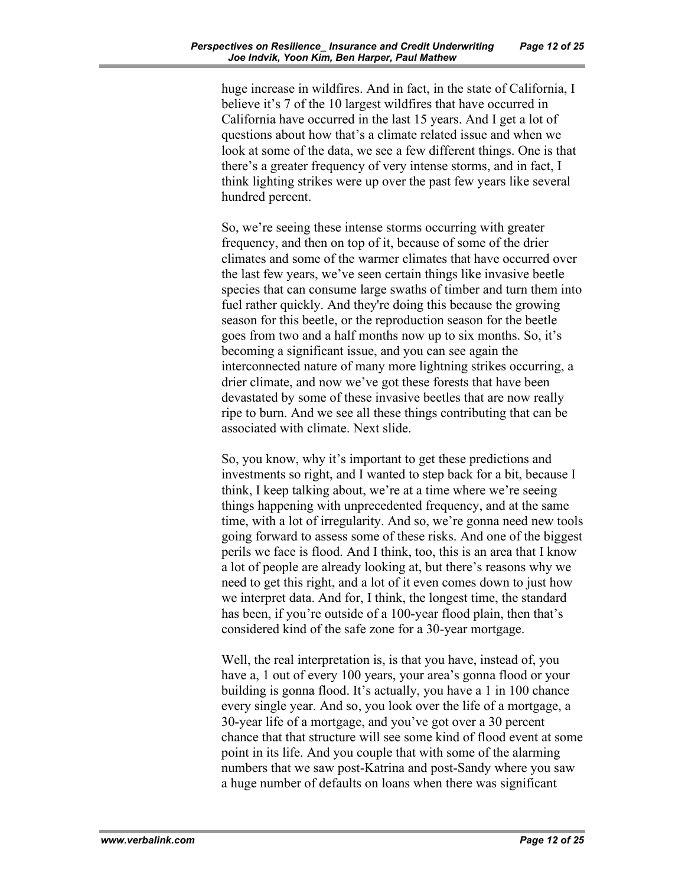huge increase in wildfires. And in fact, in the state of California, I believe it's 7 of the 10 largest wildfires that have occurred in California have occurred in the last 15 years. And I get a lot of questions about how that's a climate related issue and when we look at some of the data, we see a few different things. One is that there's a greater frequency of very intense storms, and in fact, I think lighting strikes were up over the past few years like several hundred percent.

So, we're seeing these intense storms occurring with greater frequency, and then on top of it, because of some of the drier climates and some of the warmer climates that have occurred over the last few years, we've seen certain things like invasive beetle species that can consume large swaths of timber and turn them into fuel rather quickly. And they're doing this because the growing season for this beetle, or the reproduction season for the beetle goes from two and a half months now up to six months. So, it's becoming a significant issue, and you can see again the interconnected nature of many more lightning strikes occurring, a drier climate, and now we've got these forests that have been devastated by some of these invasive beetles that are now really ripe to burn. And we see all these things contributing that can be associated with climate. Next slide.

So, you know, why it's important to get these predictions and investments so right, and I wanted to step back for a bit, because I think, I keep talking about, we're at a time where we're seeing things happening with unprecedented frequency, and at the same time, with a lot of irregularity. And so, we're gonna need new tools going forward to assess some of these risks. And one of the biggest perils we face is flood. And I think, too, this is an area that I know a lot of people are already looking at, but there's reasons why we need to get this right, and a lot of it even comes down to just how we interpret data. And for, I think, the longest time, the standard has been, if you're outside of a 100-year flood plain, then that's considered kind of the safe zone for a 30-year mortgage.

Well, the real interpretation is, is that you have, instead of, you have a, 1 out of every 100 years, your area's gonna flood or your building is gonna flood. It's actually, you have a 1 in 100 chance every single year. And so, you look over the life of a mortgage, a 30-year life of a mortgage, and you've got over a 30 percent chance that that structure will see some kind of flood event at some point in its life. And you couple that with some of the alarming numbers that we saw post-Katrina and post-Sandy where you saw a huge number of defaults on loans when there was significant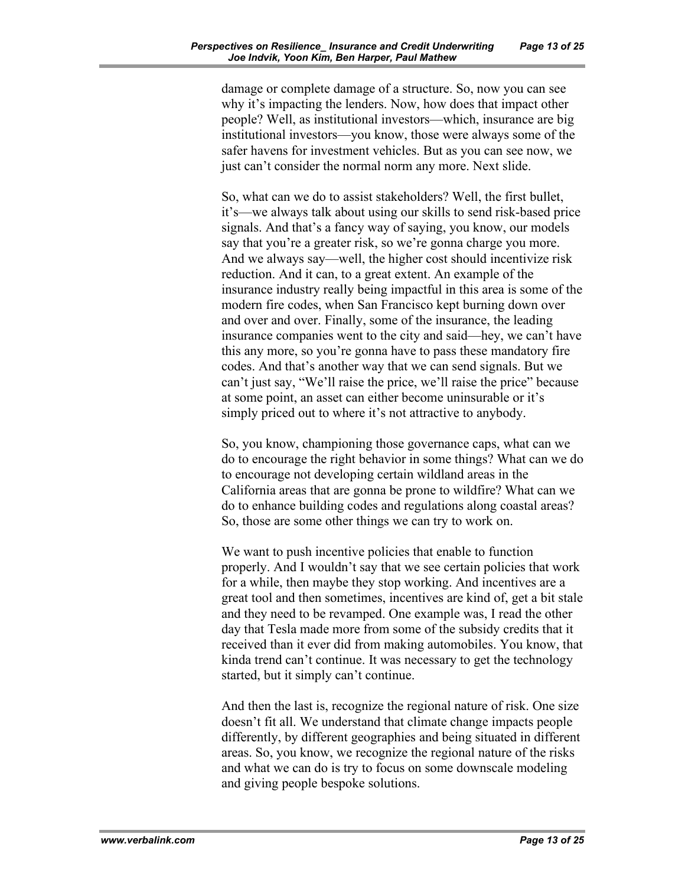damage or complete damage of a structure. So, now you can see why it's impacting the lenders. Now, how does that impact other people? Well, as institutional investors—which, insurance are big institutional investors—you know, those were always some of the safer havens for investment vehicles. But as you can see now, we just can't consider the normal norm any more. Next slide.

So, what can we do to assist stakeholders? Well, the first bullet, it's—we always talk about using our skills to send risk-based price signals. And that's a fancy way of saying, you know, our models say that you're a greater risk, so we're gonna charge you more. And we always say—well, the higher cost should incentivize risk reduction. And it can, to a great extent. An example of the insurance industry really being impactful in this area is some of the modern fire codes, when San Francisco kept burning down over and over and over. Finally, some of the insurance, the leading insurance companies went to the city and said—hey, we can't have this any more, so you're gonna have to pass these mandatory fire codes. And that's another way that we can send signals. But we can't just say, "We'll raise the price, we'll raise the price" because at some point, an asset can either become uninsurable or it's simply priced out to where it's not attractive to anybody.

So, you know, championing those governance caps, what can we do to encourage the right behavior in some things? What can we do to encourage not developing certain wildland areas in the California areas that are gonna be prone to wildfire? What can we do to enhance building codes and regulations along coastal areas? So, those are some other things we can try to work on.

We want to push incentive policies that enable to function properly. And I wouldn't say that we see certain policies that work for a while, then maybe they stop working. And incentives are a great tool and then sometimes, incentives are kind of, get a bit stale and they need to be revamped. One example was, I read the other day that Tesla made more from some of the subsidy credits that it received than it ever did from making automobiles. You know, that kinda trend can't continue. It was necessary to get the technology started, but it simply can't continue.

And then the last is, recognize the regional nature of risk. One size doesn't fit all. We understand that climate change impacts people differently, by different geographies and being situated in different areas. So, you know, we recognize the regional nature of the risks and what we can do is try to focus on some downscale modeling and giving people bespoke solutions.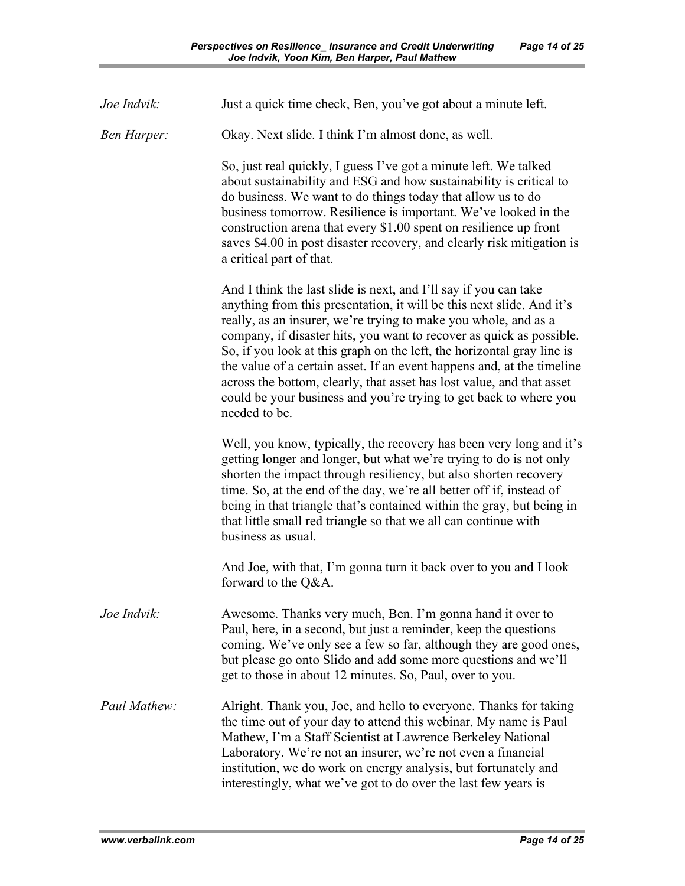| Joe Indvik:        | Just a quick time check, Ben, you've got about a minute left.                                                                                                                                                                                                                                                                                                                                                                                                                                                                                                                                           |
|--------------------|---------------------------------------------------------------------------------------------------------------------------------------------------------------------------------------------------------------------------------------------------------------------------------------------------------------------------------------------------------------------------------------------------------------------------------------------------------------------------------------------------------------------------------------------------------------------------------------------------------|
| <b>Ben Harper:</b> | Okay. Next slide. I think I'm almost done, as well.                                                                                                                                                                                                                                                                                                                                                                                                                                                                                                                                                     |
|                    | So, just real quickly, I guess I've got a minute left. We talked<br>about sustainability and ESG and how sustainability is critical to<br>do business. We want to do things today that allow us to do<br>business tomorrow. Resilience is important. We've looked in the<br>construction arena that every \$1.00 spent on resilience up front<br>saves \$4.00 in post disaster recovery, and clearly risk mitigation is<br>a critical part of that.                                                                                                                                                     |
|                    | And I think the last slide is next, and I'll say if you can take<br>anything from this presentation, it will be this next slide. And it's<br>really, as an insurer, we're trying to make you whole, and as a<br>company, if disaster hits, you want to recover as quick as possible.<br>So, if you look at this graph on the left, the horizontal gray line is<br>the value of a certain asset. If an event happens and, at the timeline<br>across the bottom, clearly, that asset has lost value, and that asset<br>could be your business and you're trying to get back to where you<br>needed to be. |
|                    | Well, you know, typically, the recovery has been very long and it's<br>getting longer and longer, but what we're trying to do is not only<br>shorten the impact through resiliency, but also shorten recovery<br>time. So, at the end of the day, we're all better off if, instead of<br>being in that triangle that's contained within the gray, but being in<br>that little small red triangle so that we all can continue with<br>business as usual.                                                                                                                                                 |
|                    | And Joe, with that, I'm gonna turn it back over to you and I look<br>forward to the Q&A.                                                                                                                                                                                                                                                                                                                                                                                                                                                                                                                |
| Joe Indvik:        | Awesome. Thanks very much, Ben. I'm gonna hand it over to<br>Paul, here, in a second, but just a reminder, keep the questions<br>coming. We've only see a few so far, although they are good ones,<br>but please go onto Slido and add some more questions and we'll<br>get to those in about 12 minutes. So, Paul, over to you.                                                                                                                                                                                                                                                                        |
| Paul Mathew:       | Alright. Thank you, Joe, and hello to everyone. Thanks for taking<br>the time out of your day to attend this webinar. My name is Paul<br>Mathew, I'm a Staff Scientist at Lawrence Berkeley National<br>Laboratory. We're not an insurer, we're not even a financial<br>institution, we do work on energy analysis, but fortunately and<br>interestingly, what we've got to do over the last few years is                                                                                                                                                                                               |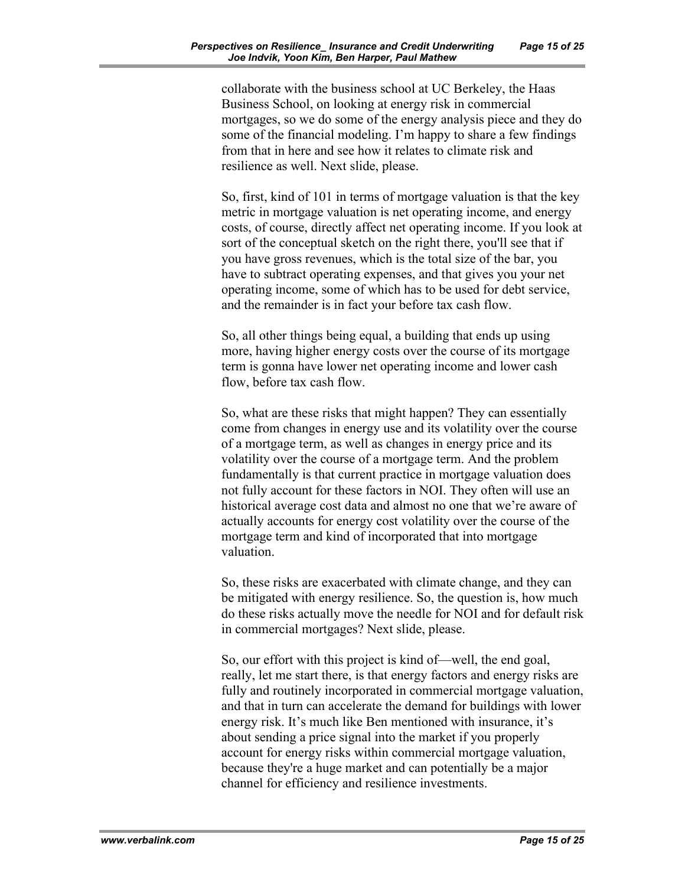collaborate with the business school at UC Berkeley, the Haas Business School, on looking at energy risk in commercial mortgages, so we do some of the energy analysis piece and they do some of the financial modeling. I'm happy to share a few findings from that in here and see how it relates to climate risk and resilience as well. Next slide, please.

So, first, kind of 101 in terms of mortgage valuation is that the key metric in mortgage valuation is net operating income, and energy costs, of course, directly affect net operating income. If you look at sort of the conceptual sketch on the right there, you'll see that if you have gross revenues, which is the total size of the bar, you have to subtract operating expenses, and that gives you your net operating income, some of which has to be used for debt service, and the remainder is in fact your before tax cash flow.

So, all other things being equal, a building that ends up using more, having higher energy costs over the course of its mortgage term is gonna have lower net operating income and lower cash flow, before tax cash flow.

So, what are these risks that might happen? They can essentially come from changes in energy use and its volatility over the course of a mortgage term, as well as changes in energy price and its volatility over the course of a mortgage term. And the problem fundamentally is that current practice in mortgage valuation does not fully account for these factors in NOI. They often will use an historical average cost data and almost no one that we're aware of actually accounts for energy cost volatility over the course of the mortgage term and kind of incorporated that into mortgage valuation.

So, these risks are exacerbated with climate change, and they can be mitigated with energy resilience. So, the question is, how much do these risks actually move the needle for NOI and for default risk in commercial mortgages? Next slide, please.

So, our effort with this project is kind of—well, the end goal, really, let me start there, is that energy factors and energy risks are fully and routinely incorporated in commercial mortgage valuation, and that in turn can accelerate the demand for buildings with lower energy risk. It's much like Ben mentioned with insurance, it's about sending a price signal into the market if you properly account for energy risks within commercial mortgage valuation, because they're a huge market and can potentially be a major channel for efficiency and resilience investments.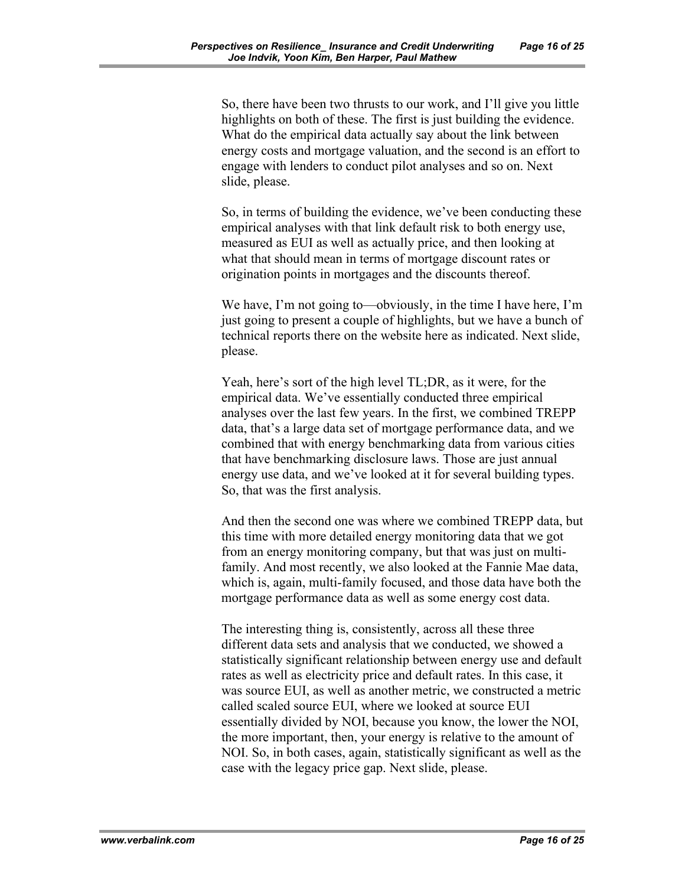So, there have been two thrusts to our work, and I'll give you little highlights on both of these. The first is just building the evidence. What do the empirical data actually say about the link between energy costs and mortgage valuation, and the second is an effort to engage with lenders to conduct pilot analyses and so on. Next slide, please.

So, in terms of building the evidence, we've been conducting these empirical analyses with that link default risk to both energy use, measured as EUI as well as actually price, and then looking at what that should mean in terms of mortgage discount rates or origination points in mortgages and the discounts thereof.

We have, I'm not going to—obviously, in the time I have here, I'm just going to present a couple of highlights, but we have a bunch of technical reports there on the website here as indicated. Next slide, please.

Yeah, here's sort of the high level TL;DR, as it were, for the empirical data. We've essentially conducted three empirical analyses over the last few years. In the first, we combined TREPP data, that's a large data set of mortgage performance data, and we combined that with energy benchmarking data from various cities that have benchmarking disclosure laws. Those are just annual energy use data, and we've looked at it for several building types. So, that was the first analysis.

And then the second one was where we combined TREPP data, but this time with more detailed energy monitoring data that we got from an energy monitoring company, but that was just on multifamily. And most recently, we also looked at the Fannie Mae data, which is, again, multi-family focused, and those data have both the mortgage performance data as well as some energy cost data.

The interesting thing is, consistently, across all these three different data sets and analysis that we conducted, we showed a statistically significant relationship between energy use and default rates as well as electricity price and default rates. In this case, it was source EUI, as well as another metric, we constructed a metric called scaled source EUI, where we looked at source EUI essentially divided by NOI, because you know, the lower the NOI, the more important, then, your energy is relative to the amount of NOI. So, in both cases, again, statistically significant as well as the case with the legacy price gap. Next slide, please.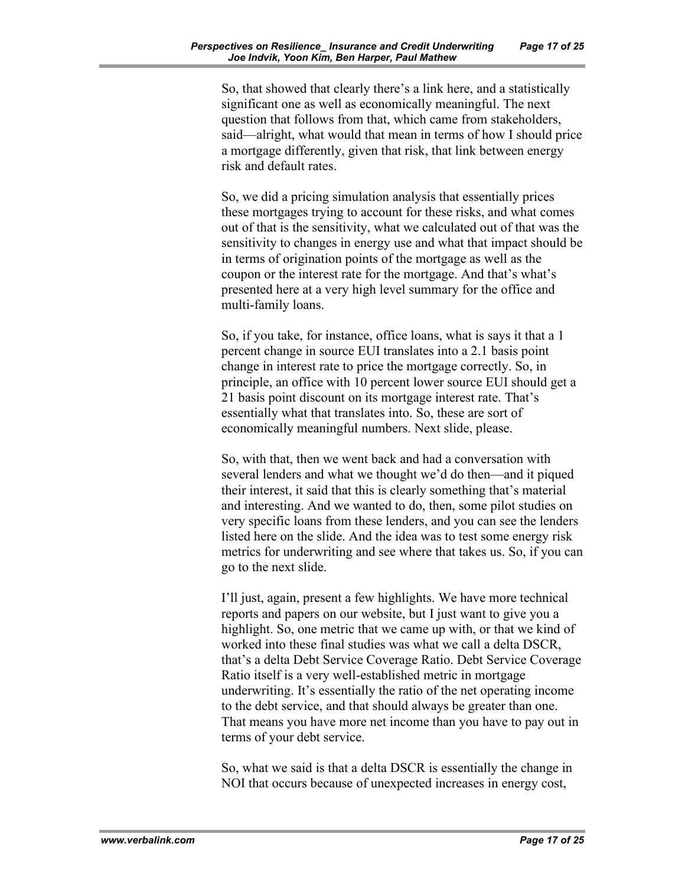So, that showed that clearly there's a link here, and a statistically significant one as well as economically meaningful. The next question that follows from that, which came from stakeholders, said—alright, what would that mean in terms of how I should price a mortgage differently, given that risk, that link between energy risk and default rates.

So, we did a pricing simulation analysis that essentially prices these mortgages trying to account for these risks, and what comes out of that is the sensitivity, what we calculated out of that was the sensitivity to changes in energy use and what that impact should be in terms of origination points of the mortgage as well as the coupon or the interest rate for the mortgage. And that's what's presented here at a very high level summary for the office and multi-family loans.

So, if you take, for instance, office loans, what is says it that a 1 percent change in source EUI translates into a 2.1 basis point change in interest rate to price the mortgage correctly. So, in principle, an office with 10 percent lower source EUI should get a 21 basis point discount on its mortgage interest rate. That's essentially what that translates into. So, these are sort of economically meaningful numbers. Next slide, please.

So, with that, then we went back and had a conversation with several lenders and what we thought we'd do then—and it piqued their interest, it said that this is clearly something that's material and interesting. And we wanted to do, then, some pilot studies on very specific loans from these lenders, and you can see the lenders listed here on the slide. And the idea was to test some energy risk metrics for underwriting and see where that takes us. So, if you can go to the next slide.

I'll just, again, present a few highlights. We have more technical reports and papers on our website, but I just want to give you a highlight. So, one metric that we came up with, or that we kind of worked into these final studies was what we call a delta DSCR, that's a delta Debt Service Coverage Ratio. Debt Service Coverage Ratio itself is a very well-established metric in mortgage underwriting. It's essentially the ratio of the net operating income to the debt service, and that should always be greater than one. That means you have more net income than you have to pay out in terms of your debt service.

So, what we said is that a delta DSCR is essentially the change in NOI that occurs because of unexpected increases in energy cost,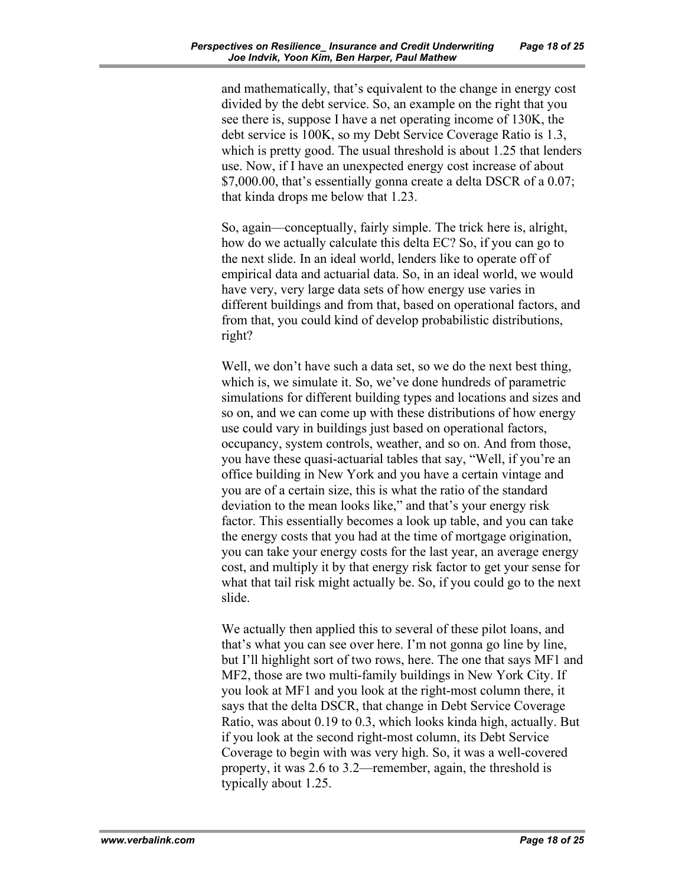and mathematically, that's equivalent to the change in energy cost divided by the debt service. So, an example on the right that you see there is, suppose I have a net operating income of 130K, the debt service is 100K, so my Debt Service Coverage Ratio is 1.3, which is pretty good. The usual threshold is about 1.25 that lenders use. Now, if I have an unexpected energy cost increase of about \$7,000.00, that's essentially gonna create a delta DSCR of a 0.07; that kinda drops me below that 1.23.

So, again—conceptually, fairly simple. The trick here is, alright, how do we actually calculate this delta EC? So, if you can go to the next slide. In an ideal world, lenders like to operate off of empirical data and actuarial data. So, in an ideal world, we would have very, very large data sets of how energy use varies in different buildings and from that, based on operational factors, and from that, you could kind of develop probabilistic distributions, right?

Well, we don't have such a data set, so we do the next best thing, which is, we simulate it. So, we've done hundreds of parametric simulations for different building types and locations and sizes and so on, and we can come up with these distributions of how energy use could vary in buildings just based on operational factors, occupancy, system controls, weather, and so on. And from those, you have these quasi-actuarial tables that say, "Well, if you're an office building in New York and you have a certain vintage and you are of a certain size, this is what the ratio of the standard deviation to the mean looks like," and that's your energy risk factor. This essentially becomes a look up table, and you can take the energy costs that you had at the time of mortgage origination, you can take your energy costs for the last year, an average energy cost, and multiply it by that energy risk factor to get your sense for what that tail risk might actually be. So, if you could go to the next slide.

We actually then applied this to several of these pilot loans, and that's what you can see over here. I'm not gonna go line by line, but I'll highlight sort of two rows, here. The one that says MF1 and MF2, those are two multi-family buildings in New York City. If you look at MF1 and you look at the right-most column there, it says that the delta DSCR, that change in Debt Service Coverage Ratio, was about 0.19 to 0.3, which looks kinda high, actually. But if you look at the second right-most column, its Debt Service Coverage to begin with was very high. So, it was a well-covered property, it was 2.6 to 3.2—remember, again, the threshold is typically about 1.25.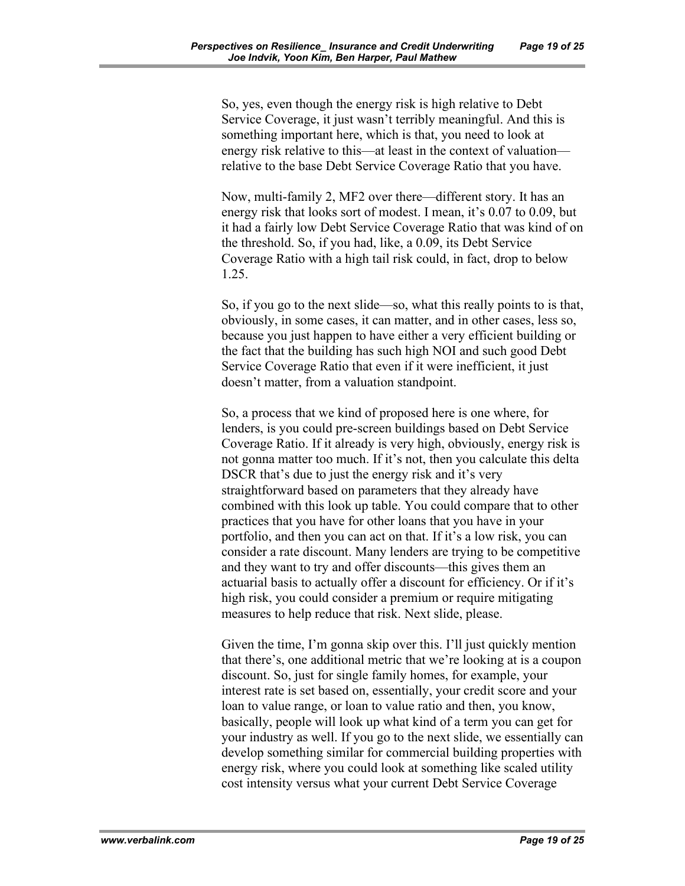So, yes, even though the energy risk is high relative to Debt Service Coverage, it just wasn't terribly meaningful. And this is something important here, which is that, you need to look at energy risk relative to this—at least in the context of valuation relative to the base Debt Service Coverage Ratio that you have.

Now, multi-family 2, MF2 over there—different story. It has an energy risk that looks sort of modest. I mean, it's 0.07 to 0.09, but it had a fairly low Debt Service Coverage Ratio that was kind of on the threshold. So, if you had, like, a 0.09, its Debt Service Coverage Ratio with a high tail risk could, in fact, drop to below 1.25.

So, if you go to the next slide—so, what this really points to is that, obviously, in some cases, it can matter, and in other cases, less so, because you just happen to have either a very efficient building or the fact that the building has such high NOI and such good Debt Service Coverage Ratio that even if it were inefficient, it just doesn't matter, from a valuation standpoint.

So, a process that we kind of proposed here is one where, for lenders, is you could pre-screen buildings based on Debt Service Coverage Ratio. If it already is very high, obviously, energy risk is not gonna matter too much. If it's not, then you calculate this delta DSCR that's due to just the energy risk and it's very straightforward based on parameters that they already have combined with this look up table. You could compare that to other practices that you have for other loans that you have in your portfolio, and then you can act on that. If it's a low risk, you can consider a rate discount. Many lenders are trying to be competitive and they want to try and offer discounts—this gives them an actuarial basis to actually offer a discount for efficiency. Or if it's high risk, you could consider a premium or require mitigating measures to help reduce that risk. Next slide, please.

Given the time, I'm gonna skip over this. I'll just quickly mention that there's, one additional metric that we're looking at is a coupon discount. So, just for single family homes, for example, your interest rate is set based on, essentially, your credit score and your loan to value range, or loan to value ratio and then, you know, basically, people will look up what kind of a term you can get for your industry as well. If you go to the next slide, we essentially can develop something similar for commercial building properties with energy risk, where you could look at something like scaled utility cost intensity versus what your current Debt Service Coverage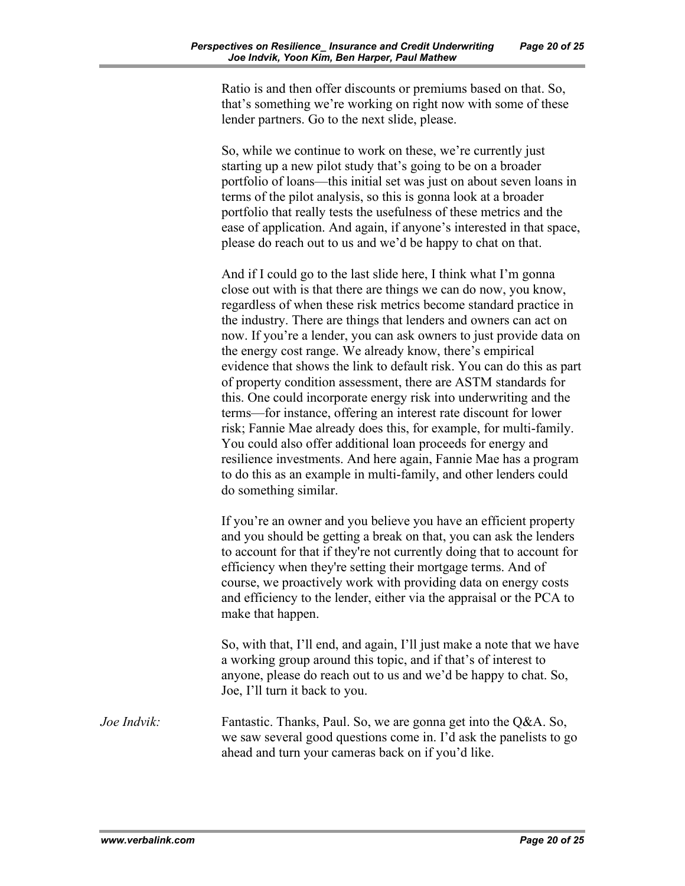Ratio is and then offer discounts or premiums based on that. So, that's something we're working on right now with some of these lender partners. Go to the next slide, please.

So, while we continue to work on these, we're currently just starting up a new pilot study that's going to be on a broader portfolio of loans—this initial set was just on about seven loans in terms of the pilot analysis, so this is gonna look at a broader portfolio that really tests the usefulness of these metrics and the ease of application. And again, if anyone's interested in that space, please do reach out to us and we'd be happy to chat on that.

And if I could go to the last slide here, I think what I'm gonna close out with is that there are things we can do now, you know, regardless of when these risk metrics become standard practice in the industry. There are things that lenders and owners can act on now. If you're a lender, you can ask owners to just provide data on the energy cost range. We already know, there's empirical evidence that shows the link to default risk. You can do this as part of property condition assessment, there are ASTM standards for this. One could incorporate energy risk into underwriting and the terms—for instance, offering an interest rate discount for lower risk; Fannie Mae already does this, for example, for multi-family. You could also offer additional loan proceeds for energy and resilience investments. And here again, Fannie Mae has a program to do this as an example in multi-family, and other lenders could do something similar.

If you're an owner and you believe you have an efficient property and you should be getting a break on that, you can ask the lenders to account for that if they're not currently doing that to account for efficiency when they're setting their mortgage terms. And of course, we proactively work with providing data on energy costs and efficiency to the lender, either via the appraisal or the PCA to make that happen.

So, with that, I'll end, and again, I'll just make a note that we have a working group around this topic, and if that's of interest to anyone, please do reach out to us and we'd be happy to chat. So, Joe, I'll turn it back to you.

*Joe Indvik:* Fantastic. Thanks, Paul. So, we are gonna get into the Q&A. So, we saw several good questions come in. I'd ask the panelists to go ahead and turn your cameras back on if you'd like.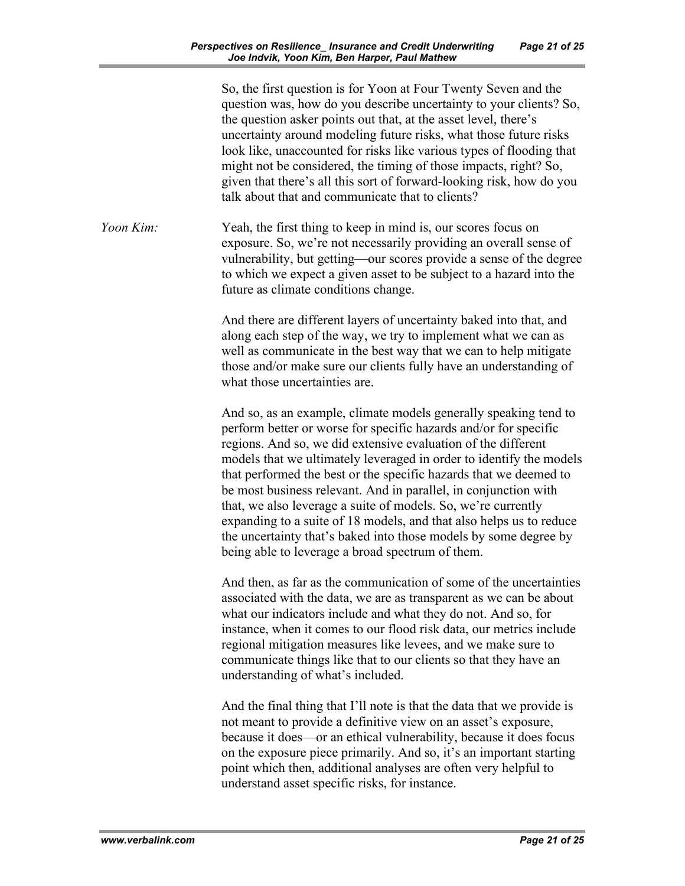So, the first question is for Yoon at Four Twenty Seven and the question was, how do you describe uncertainty to your clients? So, the question asker points out that, at the asset level, there's uncertainty around modeling future risks, what those future risks look like, unaccounted for risks like various types of flooding that might not be considered, the timing of those impacts, right? So, given that there's all this sort of forward-looking risk, how do you talk about that and communicate that to clients?

*Yoon Kim:* Yeah, the first thing to keep in mind is, our scores focus on exposure. So, we're not necessarily providing an overall sense of vulnerability, but getting—our scores provide a sense of the degree to which we expect a given asset to be subject to a hazard into the future as climate conditions change.

> And there are different layers of uncertainty baked into that, and along each step of the way, we try to implement what we can as well as communicate in the best way that we can to help mitigate those and/or make sure our clients fully have an understanding of what those uncertainties are.

And so, as an example, climate models generally speaking tend to perform better or worse for specific hazards and/or for specific regions. And so, we did extensive evaluation of the different models that we ultimately leveraged in order to identify the models that performed the best or the specific hazards that we deemed to be most business relevant. And in parallel, in conjunction with that, we also leverage a suite of models. So, we're currently expanding to a suite of 18 models, and that also helps us to reduce the uncertainty that's baked into those models by some degree by being able to leverage a broad spectrum of them.

And then, as far as the communication of some of the uncertainties associated with the data, we are as transparent as we can be about what our indicators include and what they do not. And so, for instance, when it comes to our flood risk data, our metrics include regional mitigation measures like levees, and we make sure to communicate things like that to our clients so that they have an understanding of what's included.

And the final thing that I'll note is that the data that we provide is not meant to provide a definitive view on an asset's exposure, because it does—or an ethical vulnerability, because it does focus on the exposure piece primarily. And so, it's an important starting point which then, additional analyses are often very helpful to understand asset specific risks, for instance.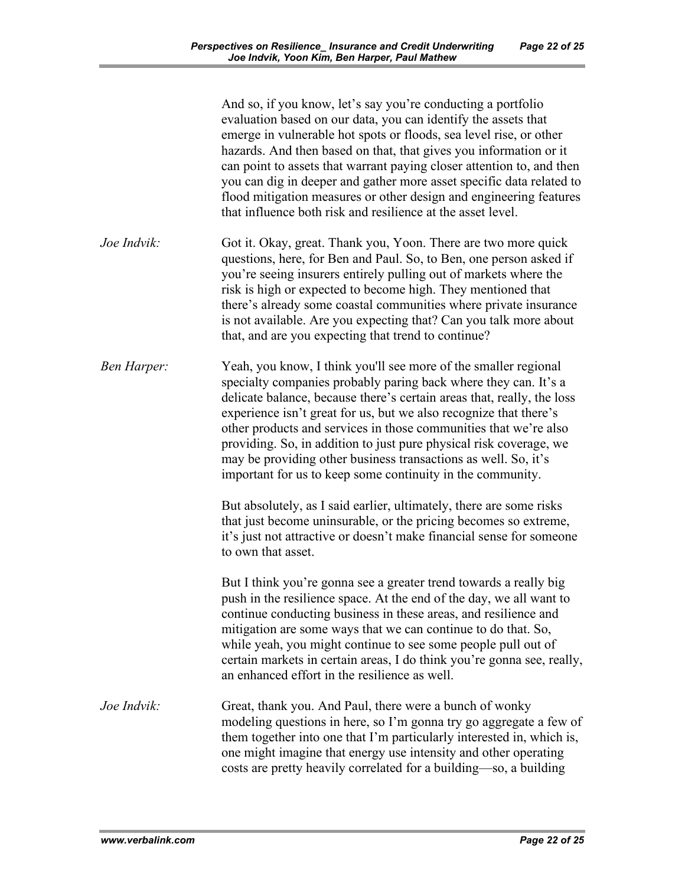|                    | And so, if you know, let's say you're conducting a portfolio<br>evaluation based on our data, you can identify the assets that<br>emerge in vulnerable hot spots or floods, sea level rise, or other<br>hazards. And then based on that, that gives you information or it<br>can point to assets that warrant paying closer attention to, and then<br>you can dig in deeper and gather more asset specific data related to<br>flood mitigation measures or other design and engineering features<br>that influence both risk and resilience at the asset level. |
|--------------------|-----------------------------------------------------------------------------------------------------------------------------------------------------------------------------------------------------------------------------------------------------------------------------------------------------------------------------------------------------------------------------------------------------------------------------------------------------------------------------------------------------------------------------------------------------------------|
| Joe Indvik:        | Got it. Okay, great. Thank you, Yoon. There are two more quick<br>questions, here, for Ben and Paul. So, to Ben, one person asked if<br>you're seeing insurers entirely pulling out of markets where the<br>risk is high or expected to become high. They mentioned that<br>there's already some coastal communities where private insurance<br>is not available. Are you expecting that? Can you talk more about<br>that, and are you expecting that trend to continue?                                                                                        |
| <b>Ben Harper:</b> | Yeah, you know, I think you'll see more of the smaller regional<br>specialty companies probably paring back where they can. It's a<br>delicate balance, because there's certain areas that, really, the loss<br>experience isn't great for us, but we also recognize that there's<br>other products and services in those communities that we're also<br>providing. So, in addition to just pure physical risk coverage, we<br>may be providing other business transactions as well. So, it's<br>important for us to keep some continuity in the community.     |
|                    | But absolutely, as I said earlier, ultimately, there are some risks<br>that just become uninsurable, or the pricing becomes so extreme,<br>it's just not attractive or doesn't make financial sense for someone<br>to own that asset.                                                                                                                                                                                                                                                                                                                           |
|                    | But I think you're gonna see a greater trend towards a really big<br>push in the resilience space. At the end of the day, we all want to<br>continue conducting business in these areas, and resilience and<br>mitigation are some ways that we can continue to do that. So,<br>while yeah, you might continue to see some people pull out of<br>certain markets in certain areas, I do think you're gonna see, really,<br>an enhanced effort in the resilience as well.                                                                                        |
| Joe Indvik:        | Great, thank you. And Paul, there were a bunch of wonky<br>modeling questions in here, so I'm gonna try go aggregate a few of<br>them together into one that I'm particularly interested in, which is,<br>one might imagine that energy use intensity and other operating<br>costs are pretty heavily correlated for a building-so, a building                                                                                                                                                                                                                  |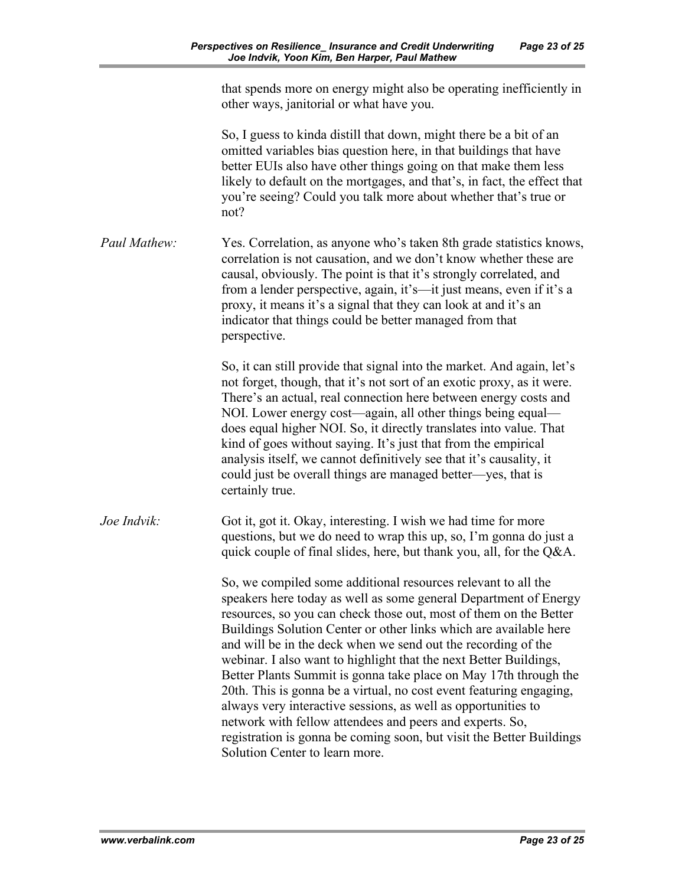| that spends more on energy might also be operating inefficiently in |
|---------------------------------------------------------------------|
| other ways, janitorial or what have you.                            |

So, I guess to kinda distill that down, might there be a bit of an omitted variables bias question here, in that buildings that have better EUIs also have other things going on that make them less likely to default on the mortgages, and that's, in fact, the effect that you're seeing? Could you talk more about whether that's true or not?

*Paul Mathew:* Yes. Correlation, as anyone who's taken 8th grade statistics knows, correlation is not causation, and we don't know whether these are causal, obviously. The point is that it's strongly correlated, and from a lender perspective, again, it's—it just means, even if it's a proxy, it means it's a signal that they can look at and it's an indicator that things could be better managed from that perspective.

> So, it can still provide that signal into the market. And again, let's not forget, though, that it's not sort of an exotic proxy, as it were. There's an actual, real connection here between energy costs and NOI. Lower energy cost—again, all other things being equal does equal higher NOI. So, it directly translates into value. That kind of goes without saying. It's just that from the empirical analysis itself, we cannot definitively see that it's causality, it could just be overall things are managed better—yes, that is certainly true.

*Joe Indvik:* Got it, got it. Okay, interesting. I wish we had time for more questions, but we do need to wrap this up, so, I'm gonna do just a quick couple of final slides, here, but thank you, all, for the Q&A.

> So, we compiled some additional resources relevant to all the speakers here today as well as some general Department of Energy resources, so you can check those out, most of them on the Better Buildings Solution Center or other links which are available here and will be in the deck when we send out the recording of the webinar. I also want to highlight that the next Better Buildings, Better Plants Summit is gonna take place on May 17th through the 20th. This is gonna be a virtual, no cost event featuring engaging, always very interactive sessions, as well as opportunities to network with fellow attendees and peers and experts. So, registration is gonna be coming soon, but visit the Better Buildings Solution Center to learn more.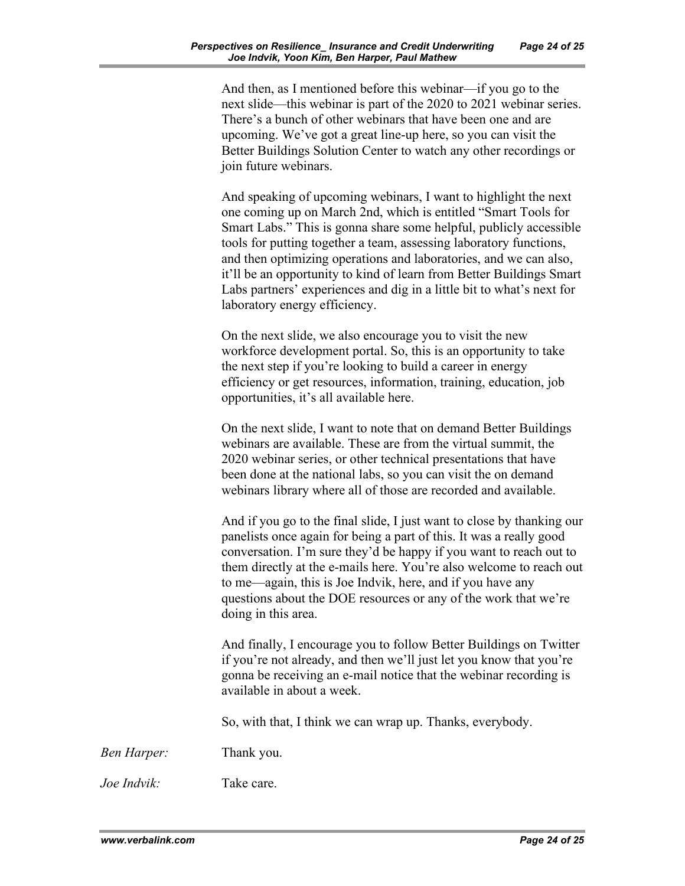And then, as I mentioned before this webinar—if you go to the next slide—this webinar is part of the 2020 to 2021 webinar series. There's a bunch of other webinars that have been one and are upcoming. We've got a great line-up here, so you can visit the Better Buildings Solution Center to watch any other recordings or join future webinars.

And speaking of upcoming webinars, I want to highlight the next one coming up on March 2nd, which is entitled "Smart Tools for Smart Labs." This is gonna share some helpful, publicly accessible tools for putting together a team, assessing laboratory functions, and then optimizing operations and laboratories, and we can also, it'll be an opportunity to kind of learn from Better Buildings Smart Labs partners' experiences and dig in a little bit to what's next for laboratory energy efficiency.

On the next slide, we also encourage you to visit the new workforce development portal. So, this is an opportunity to take the next step if you're looking to build a career in energy efficiency or get resources, information, training, education, job opportunities, it's all available here.

On the next slide, I want to note that on demand Better Buildings webinars are available. These are from the virtual summit, the 2020 webinar series, or other technical presentations that have been done at the national labs, so you can visit the on demand webinars library where all of those are recorded and available.

And if you go to the final slide, I just want to close by thanking our panelists once again for being a part of this. It was a really good conversation. I'm sure they'd be happy if you want to reach out to them directly at the e-mails here. You're also welcome to reach out to me—again, this is Joe Indvik, here, and if you have any questions about the DOE resources or any of the work that we're doing in this area.

And finally, I encourage you to follow Better Buildings on Twitter if you're not already, and then we'll just let you know that you're gonna be receiving an e-mail notice that the webinar recording is available in about a week.

So, with that, I think we can wrap up. Thanks, everybody.

*Ben Harper:* Thank you.

*Joe Indvik:* Take care.